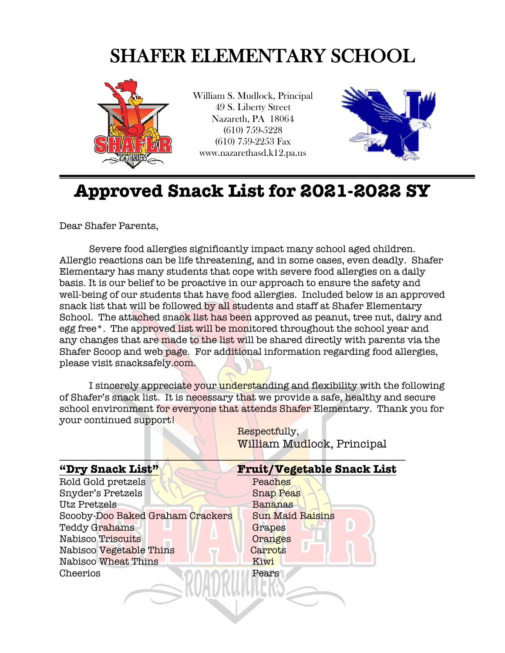## SHAFER ELEMENTARY SCHOOL



William S. Mudlock, Principal 49 S. Liberty Street Nazareth, PA 18064 (610) 759-5228 (610) 759-2253 Fax www.nazarethasd.k12.pa.us



## **Approved Snack List for 2021-2022 SY**

Dear Shafer Parents,

Severe food allergies significantly impact many school aged children. Allergic reactions can be life threatening, and in some cases, even deadly. Shafer Elementary has many students that cope with severe food allergies on a daily basis. It is our belief to be proactive in our approach to ensure the safety and well-being of our students that have food allergies. Included below is an approved snack list that will be followed by all students and staff at Shafer Elementary School. The attached snack list has been approved as peanut, tree nut, dairy and egg free\*. The approved list will be monitored throughout the school year and any changes that are made to the list will be shared directly with parents via the Shafer Scoop and web page. For additional information regarding food allergies, please visit snacksafely.com.

I sincerely appreciate your understanding and flexibility with the following of Shafer's snack list. It is necessary that we provide a safe, healthy and secure school environment for everyone that attends Shafer Elementary. Thank you for your continued support!

| "Dry Snack List"                 | <b>Fruit/Vegetable Snack List</b> |
|----------------------------------|-----------------------------------|
| Rold Gold pretzels               | Peaches                           |
| Snyder's Pretzels                | <b>Snap Peas</b>                  |
| Utz Pretzels                     | Bananas                           |
| Scooby-Doo Baked Graham Crackers | <b>Sun Maid Raisins</b>           |
| Teddy Grahams                    | Grapes                            |
| Nabisco Triscuits                | Oranges                           |
| Nabisco Vegetable Thins          | Carrots                           |
| Nabisco Wheat Thins              | Kiwi                              |
| Cheerios                         | Pears                             |
|                                  |                                   |
|                                  |                                   |
|                                  |                                   |

Respectfully, William Mudlock, Principal